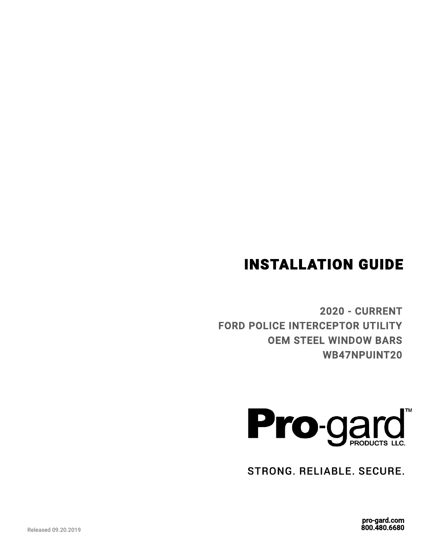# INSTALLATION GUIDE

2020 - CURRENT FORD POLICE INTERCEPTOR UTILITY OEM STEEL WINDOW BARS WB47NPUINT20



STRONG. RELIABLE. SECURE.

pro-gard.com 800.480.6680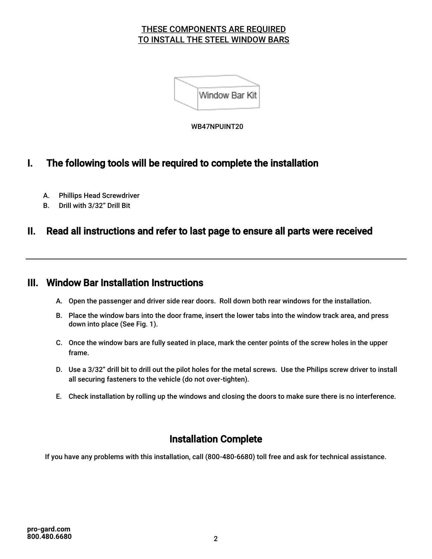#### THESE COMPONENTS ARE REQUIRED TO INSTALL THE STEEL WINDOW BARS



WB47NPUINT20

### I. The following tools will be required to complete the installation

- A. Phillips Head Screwdriver
- B. Drill with 3/32" Drill Bit

### II. Read all instructions and refer to last page to ensure all parts were received

#### III. Window Bar Installation Instructions

- A. Open the passenger and driver side rear doors. Roll down both rear windows for the installation.
- B. Place the window bars into the door frame, insert the lower tabs into the window track area, and press down into place (See Fig. 1).
- C. Once the window bars are fully seated in place, mark the center points of the screw holes in the upper frame.
- D. Use a 3/32" drill bit to drill out the pilot holes for the metal screws. Use the Philips screw driver to install all securing fasteners to the vehicle (do not over-tighten).
- E. Check installation by rolling up the windows and closing the doors to make sure there is no interference.

## Installation Complete

If you have any problems with this installation, call (800-480-6680) toll free and ask for technical assistance.